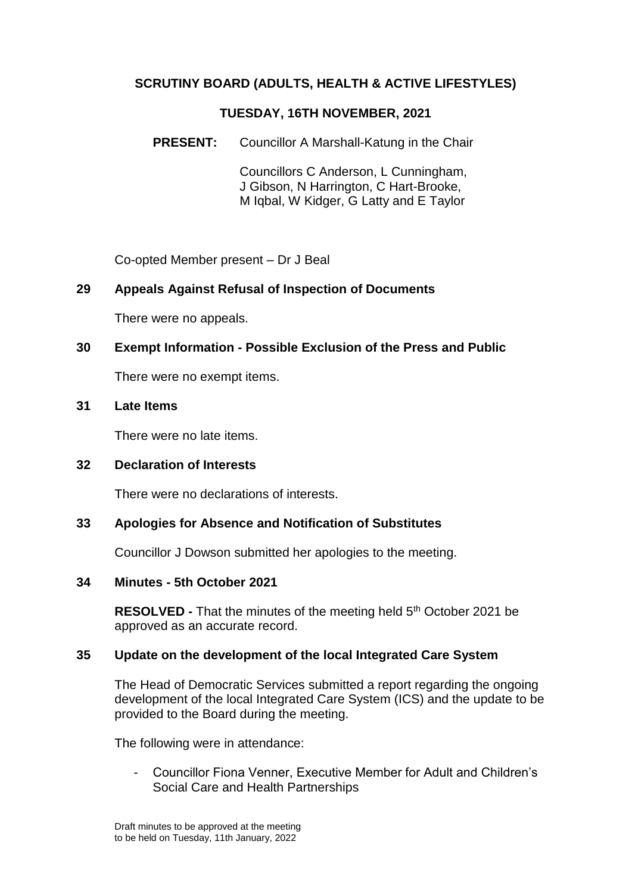# **SCRUTINY BOARD (ADULTS, HEALTH & ACTIVE LIFESTYLES)**

### **TUESDAY, 16TH NOVEMBER, 2021**

**PRESENT:** Councillor A Marshall-Katung in the Chair

Councillors C Anderson, L Cunningham, J Gibson, N Harrington, C Hart-Brooke, M Iqbal, W Kidger, G Latty and E Taylor

Co-opted Member present – Dr J Beal

## **29 Appeals Against Refusal of Inspection of Documents**

There were no appeals.

## **30 Exempt Information - Possible Exclusion of the Press and Public**

There were no exempt items.

### **31 Late Items**

There were no late items.

## **32 Declaration of Interests**

There were no declarations of interests.

## **33 Apologies for Absence and Notification of Substitutes**

Councillor J Dowson submitted her apologies to the meeting.

#### **34 Minutes - 5th October 2021**

**RESOLVED** - That the minutes of the meeting held 5<sup>th</sup> October 2021 be approved as an accurate record.

## **35 Update on the development of the local Integrated Care System**

The Head of Democratic Services submitted a report regarding the ongoing development of the local Integrated Care System (ICS) and the update to be provided to the Board during the meeting.

The following were in attendance:

- Councillor Fiona Venner, Executive Member for Adult and Children's Social Care and Health Partnerships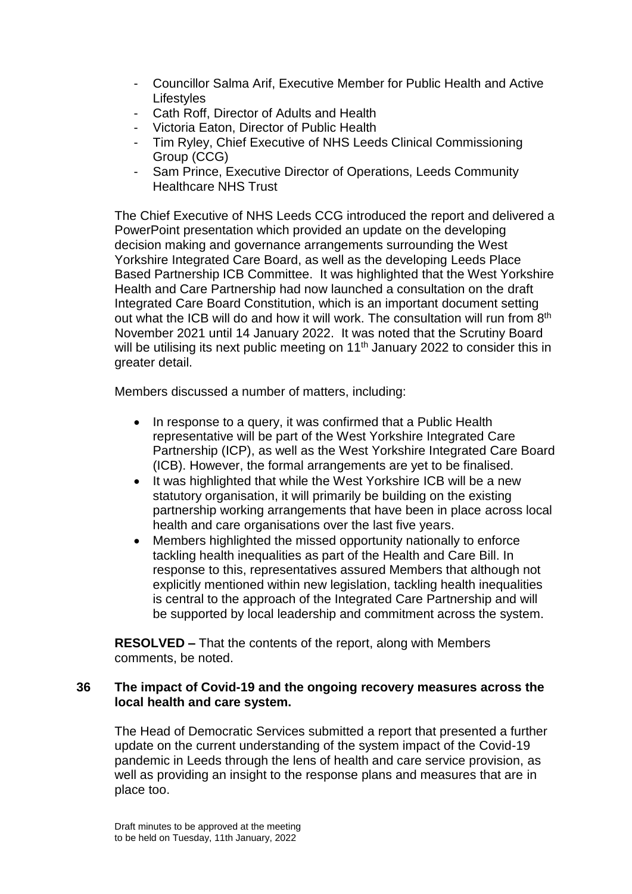- Councillor Salma Arif, Executive Member for Public Health and Active **Lifestyles**
- Cath Roff, Director of Adults and Health
- Victoria Eaton, Director of Public Health
- Tim Ryley, Chief Executive of NHS Leeds Clinical Commissioning Group (CCG)
- Sam Prince, Executive Director of Operations, Leeds Community Healthcare NHS Trust

The Chief Executive of NHS Leeds CCG introduced the report and delivered a PowerPoint presentation which provided an update on the developing decision making and governance arrangements surrounding the West Yorkshire Integrated Care Board, as well as the developing Leeds Place Based Partnership ICB Committee. It was highlighted that the West Yorkshire Health and Care Partnership had now launched a consultation on the draft Integrated Care Board Constitution, which is an important document setting out what the ICB will do and how it will work. The consultation will run from 8<sup>th</sup> November 2021 until 14 January 2022. It was noted that the Scrutiny Board will be utilising its next public meeting on 11<sup>th</sup> January 2022 to consider this in greater detail.

Members discussed a number of matters, including:

- In response to a query, it was confirmed that a Public Health representative will be part of the West Yorkshire Integrated Care Partnership (ICP), as well as the West Yorkshire Integrated Care Board (ICB). However, the formal arrangements are yet to be finalised.
- It was highlighted that while the West Yorkshire ICB will be a new statutory organisation, it will primarily be building on the existing partnership working arrangements that have been in place across local health and care organisations over the last five years.
- Members highlighted the missed opportunity nationally to enforce tackling health inequalities as part of the Health and Care Bill. In response to this, representatives assured Members that although not explicitly mentioned within new legislation, tackling health inequalities is central to the approach of the Integrated Care Partnership and will be supported by local leadership and commitment across the system.

**RESOLVED –** That the contents of the report, along with Members comments, be noted.

### **36 The impact of Covid-19 and the ongoing recovery measures across the local health and care system.**

The Head of Democratic Services submitted a report that presented a further update on the current understanding of the system impact of the Covid-19 pandemic in Leeds through the lens of health and care service provision, as well as providing an insight to the response plans and measures that are in place too.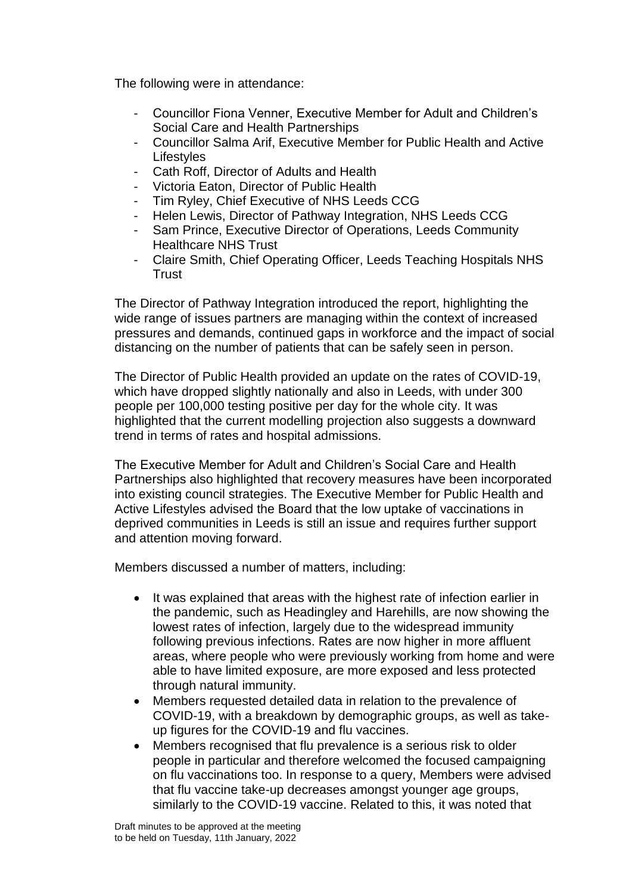The following were in attendance:

- Councillor Fiona Venner, Executive Member for Adult and Children's Social Care and Health Partnerships
- Councillor Salma Arif, Executive Member for Public Health and Active **Lifestyles**
- Cath Roff, Director of Adults and Health
- Victoria Eaton, Director of Public Health
- Tim Ryley, Chief Executive of NHS Leeds CCG
- Helen Lewis, Director of Pathway Integration, NHS Leeds CCG
- Sam Prince, Executive Director of Operations, Leeds Community Healthcare NHS Trust
- Claire Smith, Chief Operating Officer, Leeds Teaching Hospitals NHS **Trust**

The Director of Pathway Integration introduced the report, highlighting the wide range of issues partners are managing within the context of increased pressures and demands, continued gaps in workforce and the impact of social distancing on the number of patients that can be safely seen in person.

The Director of Public Health provided an update on the rates of COVID-19, which have dropped slightly nationally and also in Leeds, with under 300 people per 100,000 testing positive per day for the whole city. It was highlighted that the current modelling projection also suggests a downward trend in terms of rates and hospital admissions.

The Executive Member for Adult and Children's Social Care and Health Partnerships also highlighted that recovery measures have been incorporated into existing council strategies. The Executive Member for Public Health and Active Lifestyles advised the Board that the low uptake of vaccinations in deprived communities in Leeds is still an issue and requires further support and attention moving forward.

Members discussed a number of matters, including:

- It was explained that areas with the highest rate of infection earlier in the pandemic, such as Headingley and Harehills, are now showing the lowest rates of infection, largely due to the widespread immunity following previous infections. Rates are now higher in more affluent areas, where people who were previously working from home and were able to have limited exposure, are more exposed and less protected through natural immunity.
- Members requested detailed data in relation to the prevalence of COVID-19, with a breakdown by demographic groups, as well as takeup figures for the COVID-19 and flu vaccines.
- Members recognised that flu prevalence is a serious risk to older people in particular and therefore welcomed the focused campaigning on flu vaccinations too. In response to a query, Members were advised that flu vaccine take-up decreases amongst younger age groups, similarly to the COVID-19 vaccine. Related to this, it was noted that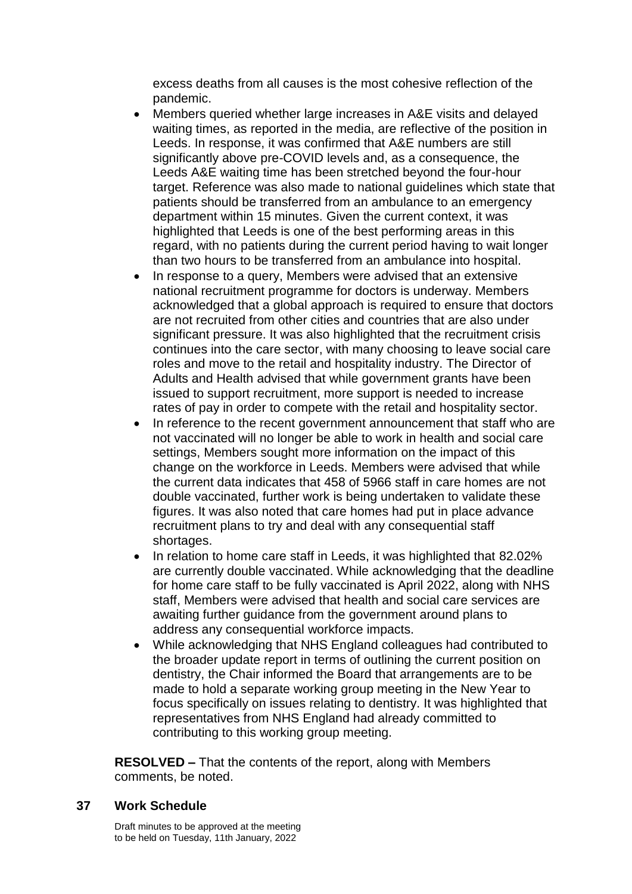excess deaths from all causes is the most cohesive reflection of the pandemic.

- Members queried whether large increases in A&E visits and delayed waiting times, as reported in the media, are reflective of the position in Leeds. In response, it was confirmed that A&E numbers are still significantly above pre-COVID levels and, as a consequence, the Leeds A&E waiting time has been stretched beyond the four-hour target. Reference was also made to national guidelines which state that patients should be transferred from an ambulance to an emergency department within 15 minutes. Given the current context, it was highlighted that Leeds is one of the best performing areas in this regard, with no patients during the current period having to wait longer than two hours to be transferred from an ambulance into hospital.
- In response to a query, Members were advised that an extensive national recruitment programme for doctors is underway. Members acknowledged that a global approach is required to ensure that doctors are not recruited from other cities and countries that are also under significant pressure. It was also highlighted that the recruitment crisis continues into the care sector, with many choosing to leave social care roles and move to the retail and hospitality industry. The Director of Adults and Health advised that while government grants have been issued to support recruitment, more support is needed to increase rates of pay in order to compete with the retail and hospitality sector.
- In reference to the recent government announcement that staff who are not vaccinated will no longer be able to work in health and social care settings, Members sought more information on the impact of this change on the workforce in Leeds. Members were advised that while the current data indicates that 458 of 5966 staff in care homes are not double vaccinated, further work is being undertaken to validate these figures. It was also noted that care homes had put in place advance recruitment plans to try and deal with any consequential staff shortages.
- In relation to home care staff in Leeds, it was highlighted that 82.02% are currently double vaccinated. While acknowledging that the deadline for home care staff to be fully vaccinated is April 2022, along with NHS staff, Members were advised that health and social care services are awaiting further guidance from the government around plans to address any consequential workforce impacts.
- While acknowledging that NHS England colleagues had contributed to the broader update report in terms of outlining the current position on dentistry, the Chair informed the Board that arrangements are to be made to hold a separate working group meeting in the New Year to focus specifically on issues relating to dentistry. It was highlighted that representatives from NHS England had already committed to contributing to this working group meeting.

**RESOLVED –** That the contents of the report, along with Members comments, be noted.

#### **37 Work Schedule**

Draft minutes to be approved at the meeting to be held on Tuesday, 11th January, 2022